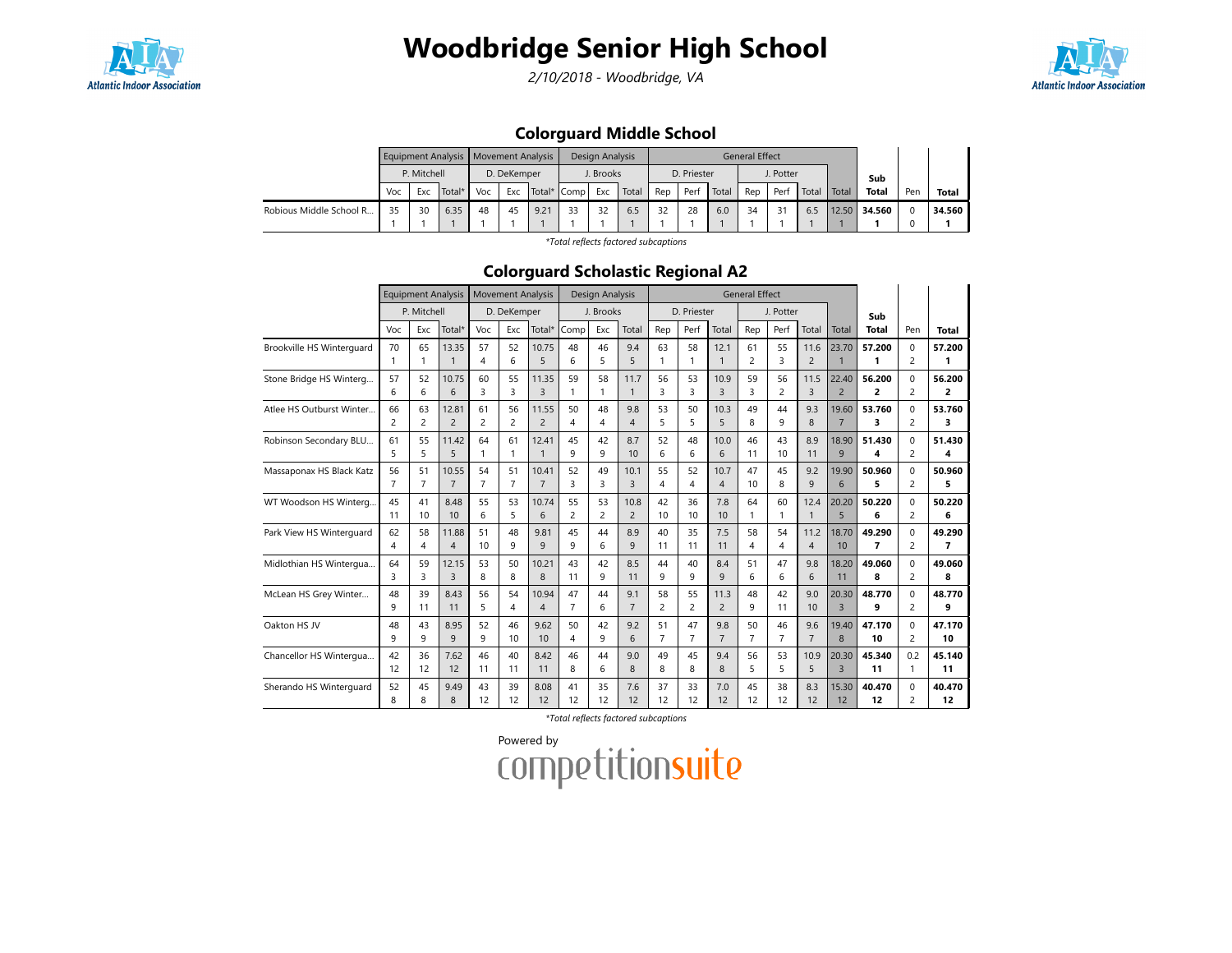

2/10/2018 - Woodbridge, VA



### Colorguard Middle School

|                         |     |               | Equipment Analysis   Movement Analysis |    |             |      |               | Design Analysis |       |     |             |       | <b>General Effect</b> |           |       |       |              |     |        |
|-------------------------|-----|---------------|----------------------------------------|----|-------------|------|---------------|-----------------|-------|-----|-------------|-------|-----------------------|-----------|-------|-------|--------------|-----|--------|
|                         |     | P. Mitchell   |                                        |    | D. DeKemper |      |               | J. Brooks       |       |     | D. Priester |       |                       | J. Potter |       |       | Sub          |     |        |
|                         | Voc | Total*<br>Exc |                                        |    | Exc         |      | Total*   Comp | Exc             | Total | Rep | Perf        | Total | Rep                   | Perf      | Total | Total | <b>Total</b> | Pen | Total  |
| Robious Middle School R | 35  | 30            | 6.35                                   | 48 | 45          | 9.21 | 33            | 32              | 6.5   | 32  | 28          | 6.0   | 34                    |           | 6.5   | 12.50 | 34.560       |     | 34.560 |
|                         |     |               |                                        |    |             |      |               |                 |       |     |             |       |                       |           |       |       |              |     |        |

\*Total reflects factored subcaptions

#### Colorguard Scholastic Regional A2

|                           |                | <b>Equipment Analysis</b> |                |                | <b>Movement Analysis</b> |                |                | <b>Design Analysis</b> |                |                |             |                | <b>General Effect</b> |                      |                |                         |                          |                            |                          |
|---------------------------|----------------|---------------------------|----------------|----------------|--------------------------|----------------|----------------|------------------------|----------------|----------------|-------------|----------------|-----------------------|----------------------|----------------|-------------------------|--------------------------|----------------------------|--------------------------|
|                           |                | P. Mitchell               |                |                | D. DeKemper              |                |                | J. Brooks              |                |                | D. Priester |                |                       | J. Potter            |                |                         | Sub                      |                            |                          |
|                           | Voc            | Exc                       | Total*         | Voc            | Exc                      | Total*         | Comp           | Exc                    | Total          | Rep            | Perf        | Total          | Rep                   | Perf                 | Total          | Total                   | <b>Total</b>             | Pen                        | Total                    |
| Brookville HS Winterguard | 70             | 65                        | 13.35          | 57             | 52                       | 10.75          | 48             | 46                     | 9.4            | 63             | 58          | 12.1           | 61                    | 55                   | 11.6           | 23.70                   | 57.200                   | $\Omega$                   | 57.200                   |
|                           | $\mathbf{1}$   | 1                         | $\mathbf{1}$   | 4              | 6                        | 5              | 6              | 5                      | 5              | $\mathbf{1}$   | 1           | $\mathbf{1}$   | $\overline{2}$        | 3                    | $\overline{2}$ | $\overline{1}$          | 1                        | $\overline{2}$             | 1                        |
| Stone Bridge HS Winterg   | 57<br>6        | 52<br>6                   | 10.75<br>6     | 60<br>3        | 55<br>3                  | 11.35<br>3     | 59             | 58<br>1                | 11.7<br>1      | 56<br>3        | 53<br>3     | 10.9<br>3      | 59<br>3               | 56<br>$\overline{c}$ | 11.5<br>3      | 22.40<br>$\overline{2}$ | 56.200<br>2              | $\Omega$<br>$\overline{c}$ | 56.200<br>2              |
| Atlee HS Outburst Winter  | 66             | 63                        | 12.81          | 61             | 56                       | 11.55          | 50             | 48                     | 9.8            | 53             | 50          | 10.3           | 49                    | 44                   | 9.3            | 19.60                   | 53.760                   | $\Omega$                   | 53.760                   |
|                           | $\overline{c}$ | $\overline{2}$            | $\overline{2}$ | $\overline{2}$ | $\overline{c}$           | $\overline{c}$ | $\overline{A}$ | 4                      | 4              | 5              | 5           | 5              | 8                     | 9                    | 8              | $\overline{7}$          | 3                        | $\overline{2}$             | 3                        |
| Robinson Secondary BLU    | 61             | 55                        | 11.42          | 64             | 61                       | 12.41          | 45             | 42                     | 8.7            | 52             | 48          | 10.0           | 46                    | 43                   | 8.9            | 18.90                   | 51.430                   | $\Omega$                   | 51.430                   |
|                           | 5              | 5                         | 5              | 1              | $\mathbf{1}$             | $\mathbf{1}$   | 9              | 9                      | 10             | 6              | 6           | 6              | 11                    | 10                   | 11             | 9                       | 4                        | $\overline{2}$             | 4                        |
| Massaponax HS Black Katz  | 56             | 51                        | 10.55          | 54             | 51                       | 10.41          | 52             | 49                     | 10.1           | 55             | 52          | 10.7           | 47                    | 45                   | 9.2            | 19.90                   | 50.960                   | $\Omega$                   | 50.960                   |
|                           | $\overline{7}$ | $\overline{7}$            | $\overline{7}$ | $\overline{7}$ | $\overline{7}$           | $\overline{7}$ | 3              | 3                      | 3              | $\overline{4}$ | 4           | $\overline{4}$ | 10                    | 8                    | 9              | 6                       | 5                        | $\overline{2}$             | 5                        |
| WT Woodson HS Winterg     | 45             | 41                        | 8.48           | 55             | 53                       | 10.74          | 55             | 53                     | 10.8           | 42             | 36          | 7.8            | 64                    | 60                   | 12.4           | 20.20                   | 50.220                   | $\Omega$                   | 50.220                   |
|                           | 11             | 10                        | 10             | 6              | 5                        | 6              | $\overline{c}$ | $\overline{c}$         | $\overline{2}$ | 10             | 10          | 10             | $\mathbf{1}$          | 1                    | $\mathbf{1}$   | 5                       | 6                        | $\overline{2}$             | 6                        |
| Park View HS Winterguard  | 62             | 58                        | 11.88          | 51             | 48                       | 9.81           | 45             | 44                     | 8.9            | 40             | 35          | 7.5            | 58                    | 54                   | 11.2           | 18.70                   | 49.290                   | $\Omega$                   | 49.290                   |
|                           | 4              | 4                         | $\overline{4}$ | 10             | 9                        | 9              | 9              | 6                      | 9              | 11             | 11          | 11             | $\overline{4}$        | 4                    | $\overline{4}$ | 10                      | $\overline{\phantom{a}}$ | $\overline{2}$             | $\overline{\phantom{a}}$ |
| Midlothian HS Wintergua   | 64             | 59                        | 12.15          | 53             | 50                       | 10.21          | 43             | 42                     | 8.5            | 44             | 40          | 8.4            | 51                    | 47                   | 9.8            | 18.20                   | 49.060                   | $\Omega$                   | 49.060                   |
|                           | $\mathbf{a}$   | 3                         | 3              | 8              | 8                        | 8              | 11             | 9                      | 11             | $\mathsf q$    | 9           | 9              | 6                     | 6                    | 6              | 11                      | 8                        | $\overline{2}$             | 8                        |
| McLean HS Grey Winter     | 48             | 39                        | 8.43           | 56             | 54                       | 10.94          | 47             | 44                     | 9.1            | 58             | 55          | 11.3           | 48                    | 42                   | 9.0            | 20.30                   | 48.770                   | $\Omega$                   | 48.770                   |
|                           | 9              | 11                        | 11             | 5              | 4                        | $\overline{4}$ | $\overline{7}$ | 6                      | $\overline{7}$ | $\overline{2}$ | 2           | $\overline{c}$ | 9                     | 11                   | 10             | $\overline{3}$          | 9                        | $\overline{2}$             | 9                        |
| Oakton HS JV              | 48             | 43                        | 8.95           | 52             | 46                       | 9.62           | 50             | 42                     | 9.2            | 51             | 47          | 9.8            | 50                    | 46                   | 9.6            | 19.40                   | 47.170                   | $\Omega$                   | 47.170                   |
|                           | $\mathsf{Q}$   | 9                         | 9              | 9              | 10                       | 10             | 4              | 9                      | 6              | $\overline{7}$ | 7           | $\overline{7}$ | $\overline{7}$        | $\overline{7}$       | $\overline{7}$ | 8                       | 10                       | $\overline{2}$             | 10                       |
| Chancellor HS Wintergua   | 42             | 36                        | 7.62           | 46             | 40                       | 8.42           | 46             | 44                     | 9.0            | 49             | 45          | 9.4            | 56                    | 53                   | 10.9           | 20.30                   | 45.340                   | 0.2                        | 45.140                   |
|                           | 12             | 12                        | 12             | 11             | 11                       | 11             | 8              | 6                      | 8              | 8              | 8           | 8              | 5                     | 5                    | 5              | $\overline{3}$          | 11                       | $\mathbf{1}$               | 11                       |
| Sherando HS Winterguard   | 52             | 45                        | 9.49           | 43             | 39                       | 8.08           | 41             | 35                     | 7.6            | 37             | 33          | 7.0            | 45                    | 38                   | 8.3            | 15.30                   | 40.470                   | $\Omega$                   | 40.470                   |
|                           | 8              | 8                         | 8              | 12             | 12                       | 12             | 12             | 12                     | 12             | 12             | 12          | 12             | 12                    | 12                   | 12             | 12                      | 12                       | $\overline{\phantom{0}}$   | 12                       |

\*Total reflects factored subcaptions

Powered by<br>COMPetitionsuite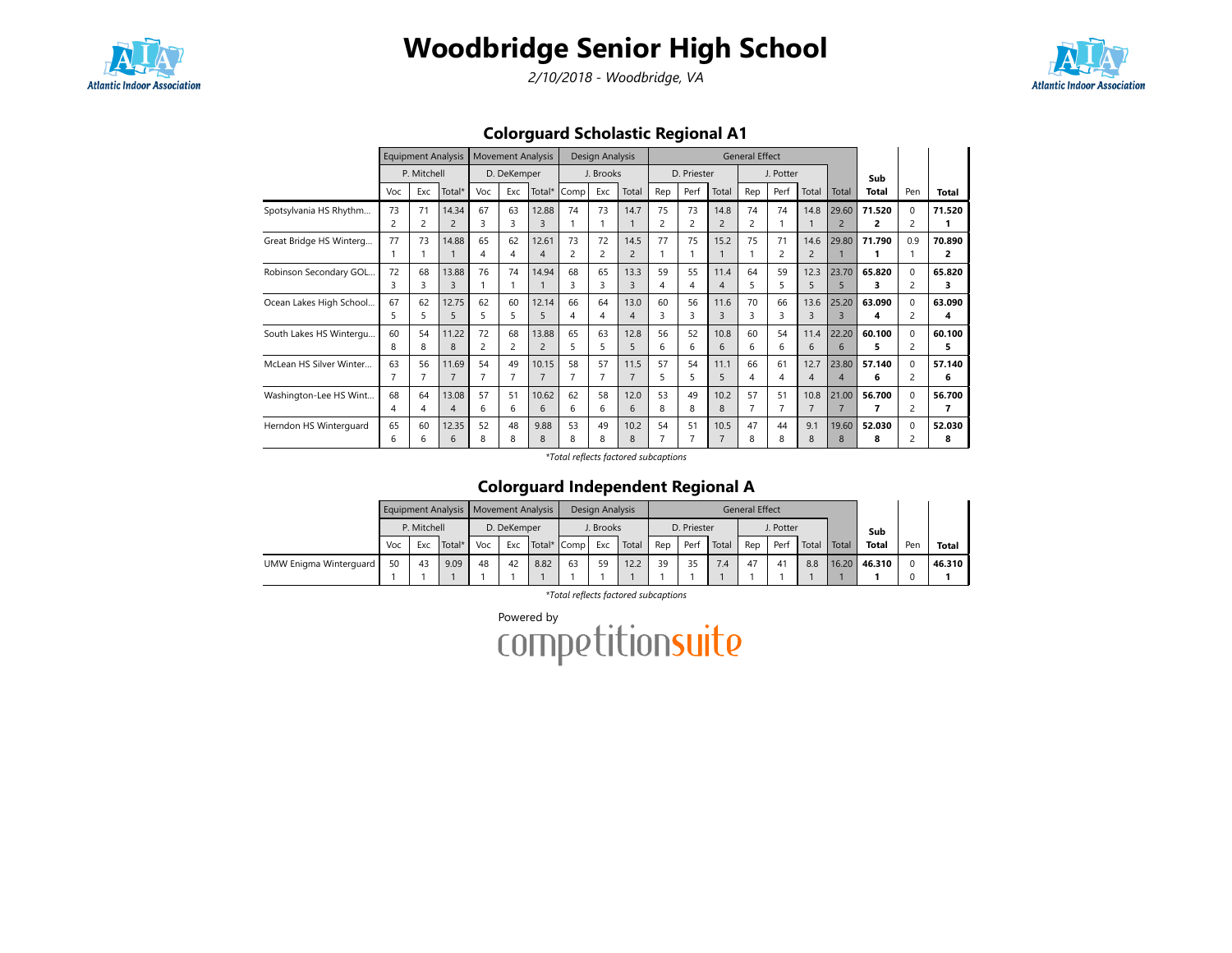

2/10/2018 - Woodbridge, VA



Colorguard Scholastic Regional A1

|                         |     | <b>Equipment Analysis</b> |                |                         | <b>Movement Analysis</b> |                |                | <b>Design Analysis</b> |                |                |             |                | <b>General Effect</b> |                |                |                          |        |                |        |
|-------------------------|-----|---------------------------|----------------|-------------------------|--------------------------|----------------|----------------|------------------------|----------------|----------------|-------------|----------------|-----------------------|----------------|----------------|--------------------------|--------|----------------|--------|
|                         |     | P. Mitchell               |                |                         | D. DeKemper              |                |                | J. Brooks              |                |                | D. Priester |                |                       | J. Potter      |                |                          | Sub    |                |        |
|                         | Voc | Exc                       | Total*         | Voc                     | Exc                      | Total*         | Comp           | Exc                    | Total          | Rep            | Perf        | Total          | Rep                   | Perf           | Total          | Total                    | Total  | Pen            | Total  |
| Spotsylvania HS Rhythm  | 73  | 71                        | 14.34          | 67                      | 63                       | 12.88          | 74             | 73                     | 14.7           | 75             | 73          | 14.8           | 74                    | 74             | 14.8           | 29.60                    | 71.520 | 0              | 71.520 |
|                         | 2   | $\overline{c}$            | $\overline{2}$ | ς                       | 3                        |                |                |                        |                | $\overline{c}$ |             | $\overline{2}$ | 2                     |                |                | 2                        | 2      |                |        |
| Great Bridge HS Winterg | 77  | 73                        | 14.88          | 65                      | 62                       | 12.61          | 73             | 72                     | 14.5           | 77             | 75          | 15.2           | 75                    | 71             | 14.6           | 29.80                    | 71.790 | 0.9            | 70.890 |
|                         |     |                           |                | 4                       | 4                        | 4              | $\overline{c}$ | $\overline{c}$         | $\overline{2}$ |                |             |                |                       | $\overline{2}$ | 2              |                          |        |                | 2      |
| Robinson Secondary GOL  | 72  | 68                        | 13.88          | 76                      | 74                       | 14.94          | 68             | 65                     | 13.3           | 59             | 55          | 11.4           | 64                    | 59             | 12.3           | 23.70                    | 65.820 | $\Omega$       | 65.820 |
|                         | 3   | ς                         | 3              |                         |                          |                | 3              | 3                      | 3              | 4              | 4           | 4              | 5                     | 5              | 5              | 5                        | з      | 2              | з      |
| Ocean Lakes High School | 67  | 62                        | 12.75          | 62                      | 60                       | 12.14          | 66             | 64                     | 13.0           | 60             | 56          | 11.6           | 70                    | 66             | 13.6           | 25.20                    | 63.090 | 0              | 63.090 |
|                         | 5   | 5                         | 5              | 5                       | 5                        | 5              | 4              | 4                      | 4              | 3              | 3           | 3              | 3                     | 3              | 3              | $\overline{3}$           | 4      | $\overline{c}$ | 4      |
| South Lakes HS Wintergu | 60  | 54                        | 11.22          | 72                      | 68                       | 13.88          | 65             | 63                     | 12.8           | 56             | 52          | 10.8           | 60                    | 54             | 11.4           | 22.20                    | 60.100 | $\Omega$       | 60.100 |
|                         | 8   | 8                         | 8              | $\overline{\mathbf{c}}$ | 2                        | $\overline{2}$ | 5              | 5                      | 5              | 6              | 6           | 6              | 6                     | 6              | 6              | 6                        | 5      | 2              | 5      |
| McLean HS Silver Winter | 63  | 56                        | 11.69          | 54                      | 49                       | 10.15          | 58             | 57                     | 11.5           | 57             | 54          | 11.1           | 66                    | 61             | 12.7           | 23.80                    | 57.140 | 0              | 57.140 |
|                         | 7   |                           | 7              | 7                       | 7                        |                |                | $\overline{7}$         | 7              | 5              | 5           | 5              | 4                     | 4              | $\overline{4}$ | $\boldsymbol{\varDelta}$ | 6      | 2              | 6      |
| Washington-Lee HS Wint  | 68  | 64                        | 13.08          | 57                      | 51                       | 10.62          | 62             | 58                     | 12.0           | 53             | 49          | 10.2           | 57                    | 51             | 10.8           | 21.00                    | 56.700 | $\Omega$       | 56.700 |
|                         | 4   | 4                         | $\overline{4}$ | 6                       | 6                        | 6              | 6              | 6                      | 6              | 8              | 8           | 8              | $\overline{7}$        | 7              | $\overline{7}$ |                          | 7      | 2              | 7      |
| Herndon HS Winterguard  | 65  | 60                        | 12.35          | 52                      | 48                       | 9.88           | 53             | 49                     | 10.2           | 54             | 51          | 10.5           | 47                    | 44             | 9.1            | 19.60                    | 52.030 | $\Omega$       | 52.030 |
|                         | 6   | 6                         | 6              | 8                       | 8                        | 8              | 8              | 8                      | 8              |                |             | $\overline{7}$ | 8                     | 8              | 8              | 8                        | 8      |                | 8      |

\*Total reflects factored subcaptions

### Colorguard Independent Regional A

|                        |     |                              | Equipment Analysis   Movement Analysis |     |             |      |             | Design Analysis |       |     |             |       | <b>General Effect</b> |                      |       |       |              |     |              |
|------------------------|-----|------------------------------|----------------------------------------|-----|-------------|------|-------------|-----------------|-------|-----|-------------|-------|-----------------------|----------------------|-------|-------|--------------|-----|--------------|
|                        |     | P. Mitchell<br>Total*<br>Exc |                                        |     | D. DeKemper |      |             | J. Brooks       |       |     | D. Priester |       |                       | J. Potter            |       |       | Sub          |     |              |
|                        | Voc |                              |                                        | Voc | Exc         |      | Total* Comp | Exc             | Total | Rep | Perf        | Total | Rep                   | Perf                 | Total | Total | <b>Total</b> | Pen | <b>Total</b> |
| UMW Enigma Winterguard | 50  | 43                           | 9.09                                   | 48  | 42          | 8.82 | 63          | 59              | 12.2  | 39  |             | 7.4   | 47                    | $\mathbf{4}^{\cdot}$ | 8.8   | 16.20 | 46.310       |     | 46.310       |
|                        |     |                              |                                        |     |             |      |             |                 |       |     |             |       |                       |                      |       |       |              |     |              |

\*Total reflects factored subcaptions

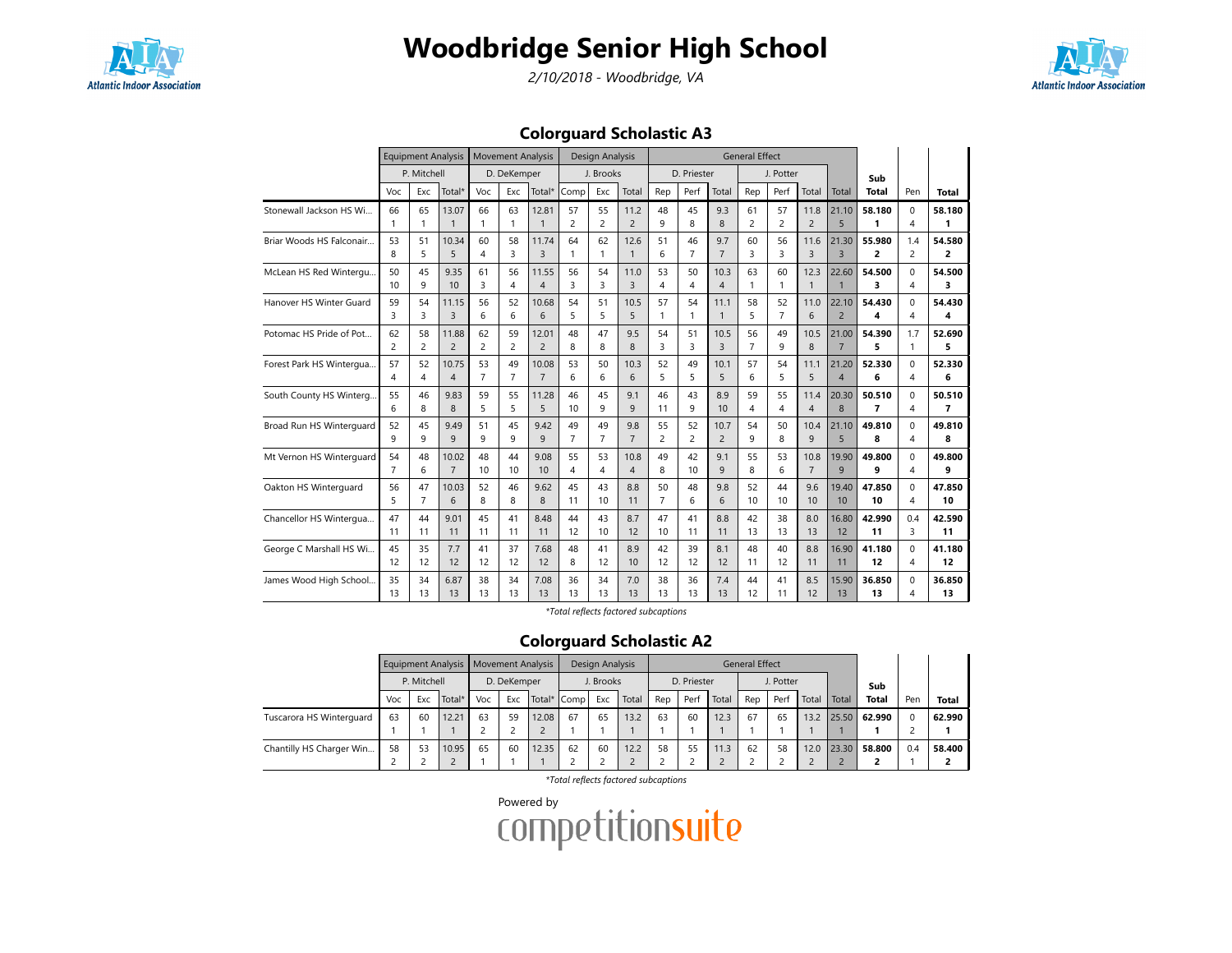

2/10/2018 - Woodbridge, VA



### Colorguard Scholastic A3

|                          |         | <b>Equipment Analysis</b> |                |                | <b>Movement Analysis</b> |                         |                | Design Analysis |                      |                |                      |                       | <b>General Effect</b> |                |                |                         |              |                       |             |
|--------------------------|---------|---------------------------|----------------|----------------|--------------------------|-------------------------|----------------|-----------------|----------------------|----------------|----------------------|-----------------------|-----------------------|----------------|----------------|-------------------------|--------------|-----------------------|-------------|
|                          |         | P. Mitchell               |                |                | D. DeKemper              |                         |                | J. Brooks       |                      |                | D. Priester          |                       |                       | J. Potter      |                |                         | Sub          |                       |             |
|                          | Voc     | Exc                       | Total*         | Voc            | Exc                      | Total*                  | Comp           | Exc             | Total                | Rep            | Perf                 | Total                 | Rep                   | Perf           | Total          | Total                   | <b>Total</b> | Pen                   | Total       |
| Stonewall Jackson HS Wi  | 66      | 65                        | 13.07          | 66             | 63                       | 12.81                   | 57             | 55              | 11.2                 | 48             | 45                   | 9.3                   | 61                    | 57             | 11.8           | 21.10                   | 58.180       | $\Omega$              | 58.180      |
|                          | 1       | 1                         | $\overline{1}$ | 1              | $\mathbf{1}$             | $\overline{1}$          | $\overline{c}$ | $\overline{c}$  | $\overline{2}$       | 9              | 8                    | $\mathsf{R}$          | $\overline{c}$        | 2              | $\overline{2}$ | 5                       | 1            | 4                     | 1           |
| Briar Woods HS Falconair | 53<br>8 | 51<br>5                   | 10.34<br>5     | 60<br>4        | 58<br>3                  | 11.74<br>$\overline{3}$ | 64             | 62<br>1         | 12.6<br>$\mathbf{1}$ | 51<br>6        | 46<br>$\overline{7}$ | 9.7<br>$\overline{7}$ | 60<br>3               | 56<br>3        | 11.6<br>3      | 21.30<br>$\overline{3}$ | 55.980<br>2  | 1.4<br>$\overline{2}$ | 54.580<br>2 |
| McLean HS Red Wintergu   | 50      | 45                        | 9.35           | 61             | 56                       | 11.55                   | 56             | 54              | 11.0                 | 53             | 50                   | 10.3                  | 63                    | 60             | 12.3           | 22.60                   | 54.500       | $\Omega$              | 54.500      |
|                          | 10      | 9                         | 10             | 3              | 4                        | $\boldsymbol{\Delta}$   | 3              | 3               | 3                    | 4              | 4                    | $\overline{A}$        | 1                     | 1              | $\mathbf{1}$   | $\overline{1}$          | 3            | 4                     | 3           |
| Hanover HS Winter Guard  | 59      | 54                        | 11.15          | 56             | 52                       | 10.68                   | 54             | 51              | 10.5                 | 57             | 54                   | 11.1                  | 58                    | 52             | 11.0           | 22.10                   | 54.430       | $\Omega$              | 54.430      |
|                          | 3       | 3                         | $\overline{3}$ | 6              | 6                        | 6                       | 5              | 5               | 5                    | 1              | 1                    | $\overline{1}$        | 5                     | $\overline{7}$ | 6              | $\overline{2}$          | 4            | 4                     | 4           |
| Potomac HS Pride of Pot  | 62      | 58                        | 11.88          | 62             | 59                       | 12.01                   | 48             | 47              | 9.5                  | 54             | 51                   | 10.5                  | 56                    | 49             | 10.5           | 21.00                   | 54.390       | 1.7                   | 52.690      |
|                          | 2       | $\overline{a}$            | $\overline{c}$ | $\overline{c}$ | $\overline{c}$           | $\overline{c}$          | 8              | 8               | 8                    | 3              | 3                    | $\overline{3}$        | $\overline{7}$        | 9              | 8              | $\overline{7}$          | 5            | $\mathbf{1}$          | 5           |
| Forest Park HS Wintergua | 57      | 52                        | 10.75          | 53             | 49                       | 10.08                   | 53             | 50              | 10.3                 | 52             | 49                   | 10.1                  | 57                    | 54             | 11.1           | 21.20                   | 52.330       | $\Omega$              | 52.330      |
|                          | 4       | 4                         | $\overline{4}$ | $\overline{7}$ | $\overline{7}$           | $\overline{7}$          | 6              | 6               | 6                    | 5              | 5                    | 5                     | 6                     | 5              | 5              | $\overline{4}$          | 6            | 4                     | 6           |
| South County HS Winterg. | 55      | 46                        | 9.83           | 59             | 55                       | 11.28                   | 46             | 45              | 9.1                  | 46             | 43                   | 8.9                   | 59                    | 55             | 11.4           | 20.30                   | 50.510       | $\Omega$              | 50.510      |
|                          | 6       | 8                         | 8              | 5              | 5                        | 5                       | 10             | 9               | 9                    | 11             | 9                    | 10                    | 4                     | 4              | $\overline{4}$ | 8                       | 7            | 4                     | 7           |
| Broad Run HS Winterguard | 52      | 45                        | 9.49           | 51             | 45                       | 9.42                    | 49             | 49              | 9.8                  | 55             | 52                   | 10.7                  | 54                    | 50             | 10.4           | 21.10                   | 49.810       | $\Omega$              | 49.810      |
|                          | q       | 9                         | 9              | 9              | 9                        | $\mathsf{q}$            | $\overline{7}$ | $\overline{7}$  | $\overline{7}$       | $\overline{c}$ | 2                    | $\overline{2}$        | 9                     | 8              | 9              | 5                       | 8            | 4                     | 8           |
| Mt Vernon HS Winterguard | 54      | 48                        | 10.02          | 48             | 44                       | 9.08                    | 55             | 53              | 10.8                 | 49             | 42                   | 9.1                   | 55                    | 53             | 10.8           | 19.90                   | 49.800       | $\Omega$              | 49.800      |
|                          | 7       | 6                         | $\overline{7}$ | 10             | 10                       | 10                      | 4              | 4               | $\overline{4}$       | 8              | 10                   | $\mathsf{Q}$          | 8                     | 6              | $\overline{7}$ | 9                       | 9            | 4                     | 9           |
| Oakton HS Winterguard    | 56      | 47                        | 10.03          | 52             | 46                       | 9.62                    | 45             | 43              | 8.8                  | 50             | 48                   | 9.8                   | 52                    | 44             | 9.6            | 19.40                   | 47.850       | $\Omega$              | 47.850      |
|                          | 5       | $\overline{7}$            | 6              | 8              | 8                        | 8                       | 11             | 10              | 11                   | $\overline{7}$ | 6                    | $6\overline{6}$       | 10                    | 10             | 10             | 10                      | 10           | 4                     | 10          |
| Chancellor HS Wintergua  | 47      | 44                        | 9.01           | 45             | 41                       | 8.48                    | 44             | 43              | 8.7                  | 47             | 41                   | 8.8                   | 42                    | 38             | 8.0            | 16.80                   | 42.990       | 0.4                   | 42.590      |
|                          | 11      | 11                        | 11             | 11             | 11                       | 11                      | 12             | 10              | 12                   | 10             | 11                   | 11                    | 13                    | 13             | 13             | 12                      | 11           | 3                     | 11          |
| George C Marshall HS Wi  | 45      | 35                        | 7.7            | 41             | 37                       | 7.68                    | 48             | 41              | 8.9                  | 42             | 39                   | 8.1                   | 48                    | 40             | 8.8            | 16.90                   | 41.180       | $\Omega$              | 41.180      |
|                          | 12      | 12                        | 12             | 12             | 12                       | 12                      | 8              | 12              | 10                   | 12             | 12                   | 12                    | 11                    | 12             | 11             | 11                      | 12           | 4                     | 12          |
| James Wood High School   | 35      | 34                        | 6.87           | 38             | 34                       | 7.08                    | 36             | 34              | 7.0                  | 38             | 36                   | 7.4                   | 44                    | 41             | 8.5            | 15.90                   | 36.850       | $\Omega$              | 36.850      |
|                          | 13      | 13                        | 13             | 13             | 13                       | 13                      | 13             | 13              | 13                   | 13             | 13                   | 13                    | 12                    | 11             | 12             | 13                      | 13           | 4                     | 13          |

\*Total reflects factored subcaptions

#### Colorguard Scholastic A2

|                          |     |             | Equipment Analysis   Movement Analysis |     |             |       |             | Design Analysis |       |     |             |       | <b>General Effect</b> |           |       |              |              |     |              |
|--------------------------|-----|-------------|----------------------------------------|-----|-------------|-------|-------------|-----------------|-------|-----|-------------|-------|-----------------------|-----------|-------|--------------|--------------|-----|--------------|
|                          |     | P. Mitchell |                                        |     | D. DeKemper |       |             | J. Brooks       |       |     | D. Priester |       |                       | J. Potter |       |              | Sub          |     |              |
|                          | Voc | Exc         | Total*                                 | Voc | Exc         |       | Total* Comp | Exc             | Total | Rep | Perf        | Total | Rep                   | Perf      | Total | <b>Total</b> | <b>Total</b> | Per | <b>Total</b> |
| Tuscarora HS Winterguard | 63  | 60          | 12.21                                  | 63  | 59          | 12.08 | 67          | 65              | 13.2  | 63  | 60          | 12.3  | 67                    | 65        | 13.2  | 25.50        | 62.990       |     | 62.990       |
|                          |     |             |                                        |     |             |       |             |                 |       |     |             |       |                       |           |       |              |              |     |              |
| Chantilly HS Charger Win | 58  | 53          | 10.95                                  | 65  | 60          | 12.35 | 62          | 60              | 12.2  | 58  | 55          | 11.3  | 62                    | 58        | 12.0  | 23.30        | 58.800       | 0.4 | 58.400       |
|                          |     |             |                                        |     |             |       |             |                 |       |     |             |       |                       |           |       |              |              |     |              |

\*Total reflects factored subcaptions